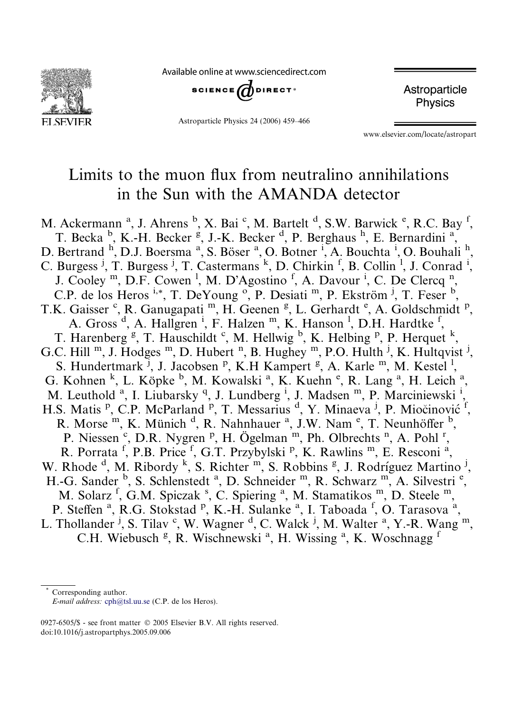

Available online at www.sciencedirect.com



Astroparticle Physics 24 (2006) 459–466

Astroparticle Physics

www.elsevier.com/locate/astropart

# Limits to the muon flux from neutralino annihilations in the Sun with the AMANDA detector

M. Ackermann<sup>a</sup>, J. Ahrens<sup>b</sup>, X. Bai<sup>c</sup>, M. Bartelt<sup>d</sup>, S.W. Barwick<sup>e</sup>, R.C. Bay<sup>f</sup>, T. Becka <sup>b</sup>, K.-H. Becker <sup>g</sup>, J.-K. Becker <sup>d</sup>, P. Berghaus <sup>h</sup>, E. Bernardini<sup>a</sup>, D. Bertrand <sup>h</sup>, D.J. Boersma <sup>a</sup>, S. Böser <sup>a</sup>, O. Botner <sup>i</sup>, A. Bouchta <sup>i</sup>, O. Bouhali <sup>h</sup>, C. Burgess<sup> j</sup>, T. Burgess <sup>j</sup>, T. Castermans <sup>k</sup>, D. Chirkin <sup>f</sup>, B. Collin <sup>1</sup>, J. Conrad <sup>i</sup>, J. Cooley<sup>m</sup>, D.F. Cowen<sup>1</sup>, M. D'Agostino<sup>f</sup>, A. Davour<sup>i</sup>, C. De Clercq<sup>n</sup>, C.P. de los Heros <sup>i,\*</sup>, T. DeYoung <sup>o</sup>, P. Desiati <sup>m</sup>, P. Ekström <sup>j</sup>, T. Feser <sup>b</sup>, T.K. Gaisser <sup>c</sup>, R. Ganugapati<sup>m</sup>, H. Geenen <sup>g</sup>, L. Gerhardt <sup>e</sup>, A. Goldschmidt <sup>p</sup>, A. Gross<sup>d</sup>, A. Hallgren<sup>i</sup>, F. Halzen<sup>m</sup>, K. Hanson<sup>1</sup>, D.H. Hardtke<sup>f</sup>, T. Harenberg<sup>g</sup>, T. Hauschildt<sup>c</sup>, M. Hellwig<sup>b</sup>, K. Helbing<sup>p</sup>, P. Herquet<sup>k</sup>, G.C. Hill m, J. Hodges m, D. Hubert n, B. Hughey m, P.O. Hulth <sup>j</sup>, K. Hultqvist <sup>j</sup>, S. Hundertmark <sup>J</sup>, J. Jacobsen <sup>p</sup>, K.H Kampert <sup>g</sup>, A. Karle <sup>m</sup>, M. Kestel <sup>1</sup> , G. Kohnen <sup>k</sup>, L. Köpke <sup>b</sup>, M. Kowalski<sup>a</sup>, K. Kuehn <sup>e</sup>, R. Lang<sup>a</sup>, H. Leich<sup>a</sup> , M. Leuthold<sup>a</sup>, I. Liubarsky<sup>q</sup>, J. Lundberg<sup>i</sup>, J. Madsen<sup>m</sup>, P. Marciniewski<sup>i</sup> , H.S. Matis <sup>p</sup>, C.P. McParland<sup>p</sup>, T. Messarius <sup>d</sup>, Y. Minaeva<sup>j</sup>, P. Miočinović<sup>f</sup>, R. Morse m, K. Münich <sup>d</sup>, R. Nahnhauer <sup>a</sup>, J.W. Nam <sup>e</sup>, T. Neunhöffer <sup>b</sup>, P. Niessen<sup>c</sup>, D.R. Nygren<sup>p</sup>, H. Ögelman<sup>m</sup>, Ph. Olbrechts<sup>n</sup>, A. Pohl<sup>r</sup>, R. Porrata <sup>f</sup>, P.B. Price <sup>f</sup>, G.T. Przybylski <sup>p</sup>, K. Rawlins <sup>m</sup>, E. Resconi<sup>a</sup>, W. Rhode <sup>d</sup>, M. Ribordy <sup>k</sup>, S. Richter <sup>m</sup>, S. Robbins <sup>g</sup>, J. Rodríguez Martino <sup>j</sup>, H.-G. Sander <sup>b</sup>, S. Schlenstedt <sup>a</sup>, D. Schneider <sup>m</sup>, R. Schwarz <sup>m</sup>, A. Silvestri <sup>e</sup>, M. Solarz <sup>f</sup>, G.M. Spiczak <sup>s</sup>, C. Spiering <sup>a</sup>, M. Stamatikos <sup>m</sup>, D. Steele <sup>m</sup>, P. Steffen<sup>a</sup>, R.G. Stokstad<sup>p</sup>, K.-H. Sulanke<sup>a</sup>, I. Taboada<sup>f</sup>, O. Tarasova<sup>a</sup>, L. Thollander <sup>j</sup>, S. Tilav <sup>c</sup>, W. Wagner <sup>d</sup>, C. Walck <sup>j</sup>, M. Walter <sup>a</sup>, Y.-R. Wang <sup>m</sup>, C.H. Wiebusch <sup>g</sup>, R. Wischnewski <sup>a</sup>, H. Wissing <sup>a</sup>, K. Woschnagg <sup>f</sup>

Corresponding author.

0927-6505/\$ - see front matter  $\odot$  2005 Elsevier B.V. All rights reserved. doi:10.1016/j.astropartphys.2005.09.006

E-mail address: [cph@tsl.uu.se](mailto:cph@tsl.uu.se) (C.P. de los Heros).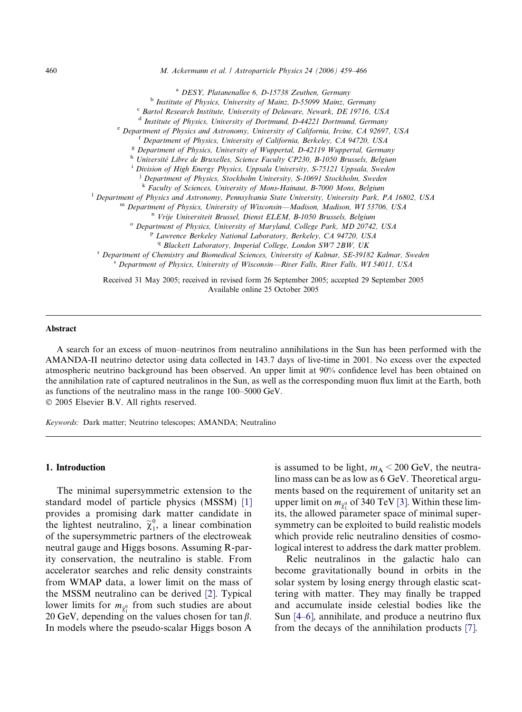<sup>a</sup> DESY, Platanenallee 6, D-15738 Zeuthen, Germany

<sup>b</sup> Institute of Physics, University of Mainz, D-55099 Mainz, Germany

<sup>c</sup> Bartol Research Institute, University of Delaware, Newark, DE 19716, USA

<sup>e</sup> Department of Physics and Astronomy, University of California, Irvine, CA 92697, USA

<sup>f</sup> Department of Physics, University of California, Berkeley, CA 94720, USA

 $g<sup>g</sup>$  Department of Physics, University of Wuppertal, D-42119 Wuppertal, Germany

h Université Libre de Bruxelles, Science Faculty CP230, B-1050 Brussels, Belgium

<sup>i</sup> Division of High Energy Physics, Uppsala University, S-75121 Uppsala, Sweden

<sup>j</sup> Department of Physics, Stockholm University, S-10691 Stockholm, Sweden

<sup>k</sup> Faculty of Sciences, University of Mons-Hainaut, B-7000 Mons, Belgium

<sup>1</sup> Department of Physics and Astronomy, Pennsylvania State University, University Park, PA 16802, USA

m Department of Physics, University of Wisconsin—Madison, Madison, WI 53706, USA

<sup>n</sup> Vrije Universiteit Brussel, Dienst ELEM, B-1050 Brussels, Belgium

<sup>o</sup> Department of Physics, University of Maryland, College Park, MD 20742, USA

<sup>p</sup> Lawrence Berkeley National Laboratory, Berkeley, CA 94720, USA

<sup>q</sup> Blackett Laboratory, Imperial College, London SW7 2BW, UK

<sup>r</sup> Department of Chemistry and Biomedical Sciences, University of Kalmar, SE-39182 Kalmar, Sweden <sup>s</sup> Department of Physics, University of Wisconsin—River Falls, River Falls, WI 54011, USA

Received 31 May 2005; received in revised form 26 September 2005; accepted 29 September 2005 Available online 25 October 2005

## **Abstract**

A search for an excess of muon–neutrinos from neutralino annihilations in the Sun has been performed with the AMANDA-II neutrino detector using data collected in 143.7 days of live-time in 2001. No excess over the expected atmospheric neutrino background has been observed. An upper limit at 90% confidence level has been obtained on the annihilation rate of captured neutralinos in the Sun, as well as the corresponding muon flux limit at the Earth, both as functions of the neutralino mass in the range 100–5000 GeV.

2005 Elsevier B.V. All rights reserved.

Keywords: Dark matter; Neutrino telescopes; AMANDA; Neutralino

#### 1. Introduction

The minimal supersymmetric extension to the standard model of particle physics (MSSM) [\[1\]](#page-6-0) provides a promising dark matter candidate in the lightest neutralino,  $\tilde{\chi}_1^0$ , a linear combination of the supersymmetric partners of the electroweak neutral gauge and Higgs bosons. Assuming R-parity conservation, the neutralino is stable. From accelerator searches and relic density constraints from WMAP data, a lower limit on the mass of the MSSM neutralino can be derived [\[2\]](#page-6-0). Typical lower limits for  $m_{\tilde{\chi}_1^0}$  from such studies are about 20 GeV, depending on the values chosen for  $\tan \beta$ . In models where the pseudo-scalar Higgs boson A

is assumed to be light,  $m_A < 200$  GeV, the neutralino mass can be as low as 6 GeV. Theoretical arguments based on the requirement of unitarity set an upper limit on  $m_{\tilde{\chi}_1^0}$  of 340 TeV [\[3\]](#page-6-0). Within these limits, the allowed parameter space of minimal supersymmetry can be exploited to build realistic models which provide relic neutralino densities of cosmological interest to address the dark matter problem.

Relic neutralinos in the galactic halo can become gravitationally bound in orbits in the solar system by losing energy through elastic scattering with matter. They may finally be trapped and accumulate inside celestial bodies like the Sun [\[4–6\],](#page-7-0) annihilate, and produce a neutrino flux from the decays of the annihilation products [\[7\]](#page-7-0).

<sup>d</sup> Institute of Physics, University of Dortmund, D-44221 Dortmund, Germany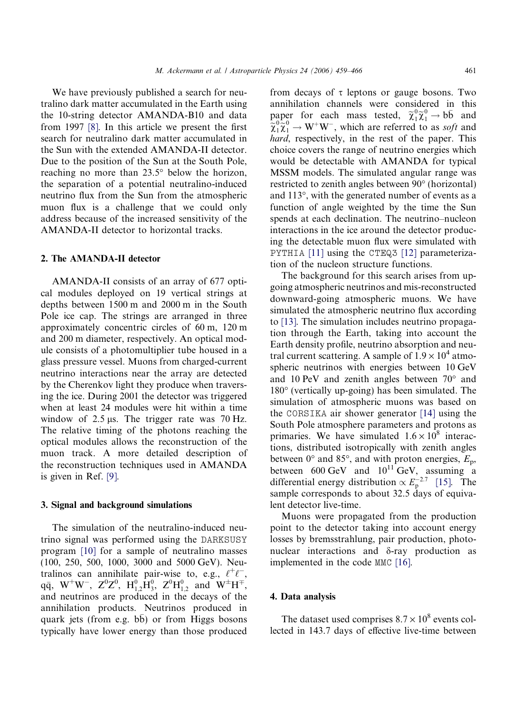We have previously published a search for neutralino dark matter accumulated in the Earth using the 10-string detector AMANDA-B10 and data from 1997 [\[8\]](#page-7-0). In this article we present the first search for neutralino dark matter accumulated in the Sun with the extended AMANDA-II detector. Due to the position of the Sun at the South Pole, reaching no more than  $23.5^{\circ}$  below the horizon, the separation of a potential neutralino-induced neutrino flux from the Sun from the atmospheric muon flux is a challenge that we could only address because of the increased sensitivity of the AMANDA-II detector to horizontal tracks.

#### 2. The AMANDA-II detector

AMANDA-II consists of an array of 677 optical modules deployed on 19 vertical strings at depths between 1500 m and 2000 m in the South Pole ice cap. The strings are arranged in three approximately concentric circles of 60 m, 120 m and 200 m diameter, respectively. An optical module consists of a photomultiplier tube housed in a glass pressure vessel. Muons from charged-current neutrino interactions near the array are detected by the Cherenkov light they produce when traversing the ice. During 2001 the detector was triggered when at least 24 modules were hit within a time window of  $2.5 \mu s$ . The trigger rate was 70 Hz. The relative timing of the photons reaching the optical modules allows the reconstruction of the muon track. A more detailed description of the reconstruction techniques used in AMANDA is given in Ref. [\[9\].](#page-7-0)

#### 3. Signal and background simulations

The simulation of the neutralino-induced neutrino signal was performed using the DARKSUSY program [\[10\]](#page-7-0) for a sample of neutralino masses (100, 250, 500, 1000, 3000 and 5000 GeV). Neutralinos can annihilate pair-wise to, e.g.,  $\ell^+ \ell^-,$  $q\bar{q}$ , W<sup>+</sup>W<sup>-</sup>, Z<sup>0</sup>Z<sup>0</sup>, H<sub>1,2</sub>H<sub>1</sub><sup>0</sup>, Z<sup>0</sup>H<sub>1,2</sub> and W<sup>±</sup>H<sup>+</sup>, and neutrinos are produced in the decays of the annihilation products. Neutrinos produced in quark jets (from e.g. bb) or from Higgs bosons typically have lower energy than those produced from decays of  $\tau$  leptons or gauge bosons. Two annihilation channels were considered in this paper for each mass tested,  $\tilde{\chi}_1^0 \tilde{\chi}_1^0 \rightarrow b\bar{b}$  and  $\tilde{\chi}_1^0 \tilde{\chi}_1^0 \rightarrow W^+W^-$ , which are referred to as *soft* and hard, respectively, in the rest of the paper. This choice covers the range of neutrino energies which would be detectable with AMANDA for typical MSSM models. The simulated angular range was restricted to zenith angles between 90° (horizontal) and 113°, with the generated number of events as a function of angle weighted by the time the Sun spends at each declination. The neutrino–nucleon interactions in the ice around the detector producing the detectable muon flux were simulated with PYTHIA [\[11\]](#page-7-0) using the CTEQ3 [\[12\]](#page-7-0) parameterization of the nucleon structure functions.

The background for this search arises from upgoing atmospheric neutrinos and mis-reconstructed downward-going atmospheric muons. We have simulated the atmospheric neutrino flux according to [\[13\].](#page-7-0) The simulation includes neutrino propagation through the Earth, taking into account the Earth density profile, neutrino absorption and neutral current scattering. A sample of  $1.9 \times 10^4$  atmospheric neutrinos with energies between 10 GeV and 10 PeV and zenith angles between  $70^{\circ}$  and 180° (vertically up-going) has been simulated. The simulation of atmospheric muons was based on the CORSIKA air shower generator [\[14\]](#page-7-0) using the South Pole atmosphere parameters and protons as primaries. We have simulated  $1.6 \times 10^8$  interactions, distributed isotropically with zenith angles between  $0^{\circ}$  and  $85^{\circ}$ , and with proton energies,  $E_{\rm p}$ , between  $600 \text{ GeV}$  and  $10^{11} \text{ GeV}$ , assuming a differential energy distribution  $\propto E_p^{-2.7}$  [\[15\].](#page-7-0) The sample corresponds to about 32.5 days of equivalent detector live-time.

Muons were propagated from the production point to the detector taking into account energy losses by bremsstrahlung, pair production, photonuclear interactions and  $\delta$ -ray production as implemented in the code MMC [\[16\].](#page-7-0)

# 4. Data analysis

The dataset used comprises  $8.7 \times 10^8$  events collected in 143.7 days of effective live-time between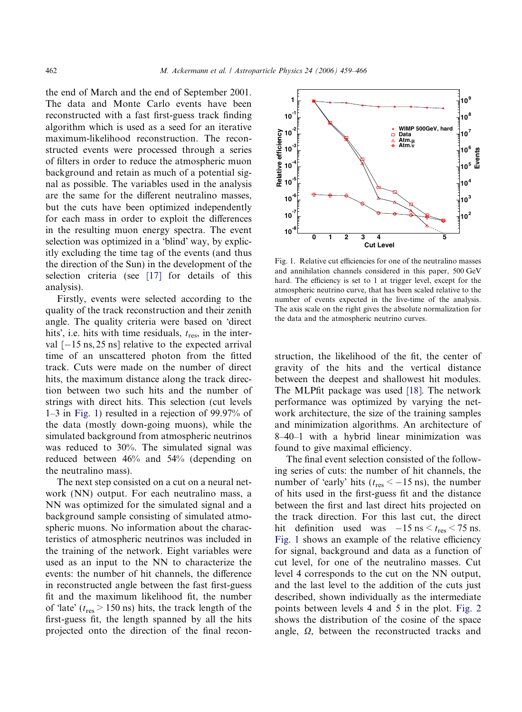the end of March and the end of September 2001. The data and Monte Carlo events have been reconstructed with a fast first-guess track finding algorithm which is used as a seed for an iterative maximum-likelihood reconstruction. The reconstructed events were processed through a series of filters in order to reduce the atmospheric muon background and retain as much of a potential signal as possible. The variables used in the analysis are the same for the different neutralino masses, but the cuts have been optimized independently for each mass in order to exploit the differences in the resulting muon energy spectra. The event selection was optimized in a 'blind' way, by explicitly excluding the time tag of the events (and thus the direction of the Sun) in the development of the selection criteria (see [\[17\]](#page-7-0) for details of this analysis).

Firstly, events were selected according to the quality of the track reconstruction and their zenith angle. The quality criteria were based on 'direct hits', i.e. hits with time residuals,  $t_{res}$ , in the interval  $[-15 \text{ ns}, 25 \text{ ns}]$  relative to the expected arrival time of an unscattered photon from the fitted track. Cuts were made on the number of direct hits, the maximum distance along the track direction between two such hits and the number of strings with direct hits. This selection (cut levels 1–3 in Fig. 1) resulted in a rejection of 99.97% of the data (mostly down-going muons), while the simulated background from atmospheric neutrinos was reduced to 30%. The simulated signal was reduced between 46% and 54% (depending on the neutralino mass).

The next step consisted on a cut on a neural network (NN) output. For each neutralino mass, a NN was optimized for the simulated signal and a background sample consisting of simulated atmospheric muons. No information about the characteristics of atmospheric neutrinos was included in the training of the network. Eight variables were used as an input to the NN to characterize the events: the number of hit channels, the difference in reconstructed angle between the fast first-guess fit and the maximum likelihood fit, the number of 'late' ( $t_{res}$  > 150 ns) hits, the track length of the first-guess fit, the length spanned by all the hits projected onto the direction of the final recon-



Fig. 1. Relative cut efficiencies for one of the neutralino masses and annihilation channels considered in this paper, 500 GeV hard. The efficiency is set to 1 at trigger level, except for the atmospheric neutrino curve, that has been scaled relative to the number of events expected in the live-time of the analysis. The axis scale on the right gives the absolute normalization for the data and the atmospheric neutrino curves.

struction, the likelihood of the fit, the center of gravity of the hits and the vertical distance between the deepest and shallowest hit modules. The MLPfit package was used [\[18\]](#page-7-0). The network performance was optimized by varying the network architecture, the size of the training samples and minimization algorithms. An architecture of 8–40–1 with a hybrid linear minimization was found to give maximal efficiency.

The final event selection consisted of the following series of cuts: the number of hit channels, the number of 'early' hits ( $t_{res} < -15$  ns), the number of hits used in the first-guess fit and the distance between the first and last direct hits projected on the track direction. For this last cut, the direct hit definition used was  $-15 \text{ ns} < t_{\text{res}} < 75 \text{ ns}$ . Fig. 1 shows an example of the relative efficiency for signal, background and data as a function of cut level, for one of the neutralino masses. Cut level 4 corresponds to the cut on the NN output, and the last level to the addition of the cuts just described, shown individually as the intermediate points between levels 4 and 5 in the plot. [Fig. 2](#page-4-0) shows the distribution of the cosine of the space angle,  $\Omega$ , between the reconstructed tracks and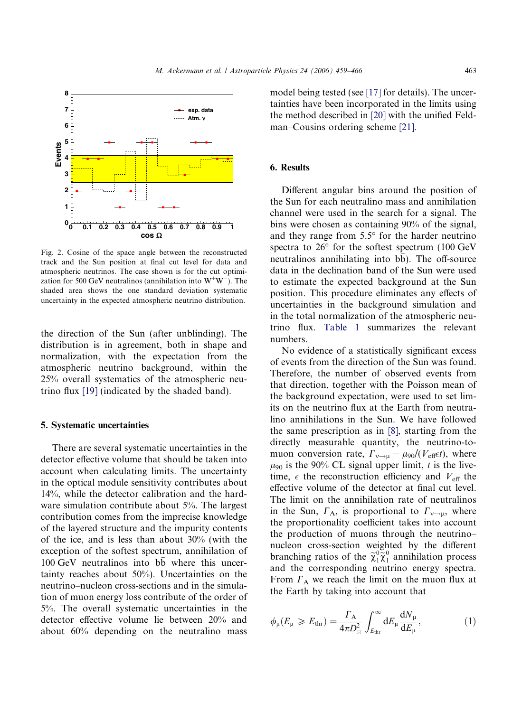<span id="page-4-0"></span>

Fig. 2. Cosine of the space angle between the reconstructed track and the Sun position at final cut level for data and atmospheric neutrinos. The case shown is for the cut optimization for 500 GeV neutralinos (annihilation into  $W^+W^-$ ). The shaded area shows the one standard deviation systematic uncertainty in the expected atmospheric neutrino distribution.

the direction of the Sun (after unblinding). The distribution is in agreement, both in shape and normalization, with the expectation from the atmospheric neutrino background, within the 25% overall systematics of the atmospheric neutrino flux [\[19\]](#page-7-0) (indicated by the shaded band).

### 5. Systematic uncertainties

There are several systematic uncertainties in the detector effective volume that should be taken into account when calculating limits. The uncertainty in the optical module sensitivity contributes about 14%, while the detector calibration and the hardware simulation contribute about 5%. The largest contribution comes from the imprecise knowledge of the layered structure and the impurity contents of the ice, and is less than about 30% (with the exception of the softest spectrum, annihilation of 100 GeV neutralinos into b b where this uncertainty reaches about 50%). Uncertainties on the neutrino–nucleon cross-sections and in the simulation of muon energy loss contribute of the order of 5%. The overall systematic uncertainties in the detector effective volume lie between 20% and about 60% depending on the neutralino mass

model being tested (see [\[17\]](#page-7-0) for details). The uncertainties have been incorporated in the limits using the method described in [\[20\]](#page-7-0) with the unified Feldman–Cousins ordering scheme [\[21\].](#page-7-0)

# 6. Results

Different angular bins around the position of the Sun for each neutralino mass and annihilation channel were used in the search for a signal. The bins were chosen as containing 90% of the signal, and they range from  $5.5^{\circ}$  for the harder neutrino spectra to  $26^{\circ}$  for the softest spectrum (100 GeV neutralinos annihilating into bb). The off-source data in the declination band of the Sun were used to estimate the expected background at the Sun position. This procedure eliminates any effects of uncertainties in the background simulation and in the total normalization of the atmospheric neutrino flux. [Table 1](#page-5-0) summarizes the relevant numbers.

No evidence of a statistically significant excess of events from the direction of the Sun was found. Therefore, the number of observed events from that direction, together with the Poisson mean of the background expectation, were used to set limits on the neutrino flux at the Earth from neutralino annihilations in the Sun. We have followed the same prescription as in [\[8\]](#page-7-0), starting from the directly measurable quantity, the neutrino-tomuon conversion rate,  $\Gamma_{v \to \mu} = \mu_{90}/(V_{\text{eff}}\epsilon t)$ , where  $\mu_{90}$  is the 90% CL signal upper limit, t is the livetime,  $\epsilon$  the reconstruction efficiency and  $V_{\text{eff}}$  the effective volume of the detector at final cut level. The limit on the annihilation rate of neutralinos in the Sun,  $\Gamma_A$ , is proportional to  $\Gamma_{v\rightarrow\mu}$ , where the proportionality coefficient takes into account the production of muons through the neutrino– nucleon cross-section weighted by the different branching ratios of the  $\tilde{\chi}_1^0 \tilde{\tilde{\chi}}_1^0$  annihilation process and the corresponding neutrino energy spectra. From  $\Gamma_A$  we reach the limit on the muon flux at the Earth by taking into account that

$$
\phi_{\mu}(E_{\mu} \geqslant E_{\text{thr}}) = \frac{\Gamma_{\text{A}}}{4\pi D_{\odot}^{2}} \int_{E_{\text{thr}}}^{\infty} dE_{\mu} \frac{dN_{\mu}}{dE_{\mu}}, \tag{1}
$$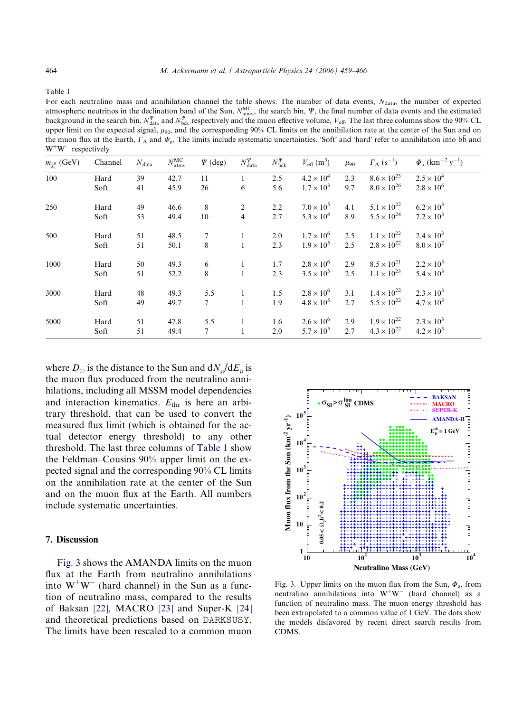<span id="page-5-0"></span>Table 1

For each neutralino mass and annihilation channel the table shows: The number of data events,  $N_{data}$ , the number of expected atmospheric neutrinos in the declination band of the Sun,  $N_{\text{atmv}}^{\text{MC}}$ , the search bin,  $\Psi$ , the final number of data events and the estimated background in the search bin,  $N_{\text{data}}^{\Psi}$  and  $N_{\text{bck}}^{\Psi}$  respectively and the muon effective volume,  $V_{\text{eff}}$ . The last three columns show the 90% CL upper limit on the expected signal,  $\mu_{90}$ , and the corresponding 90% CL limits on the annihilation rate at the center of the Sun and on the muon flux at the Earth,  $\Gamma_A$  and  $\Phi_\mu$ . The limits include systematic uncertainties. 'Soft' and 'hard' refer to annihilation into bb and  $W^+W^-$  respectively

| $m_{\tilde{\chi}^0_1}~({\rm GeV})$ | Channel | $N_{\rm data}$ | $N_{\rm atmv}^{\rm MC}$ | $\Psi$ (deg) | $N_{\text{data}}^{\Psi}$ | $N_{\mathrm{bck}}^{\Psi}$ | $V_{\text{eff}}$ (m <sup>3</sup> ) | $\mu_{90}$ | $\Gamma_{\rm A}$ (s <sup>-1</sup> ) | $\Phi_{\mu}$ (km <sup>-2</sup> y <sup>-1</sup> ) |
|------------------------------------|---------|----------------|-------------------------|--------------|--------------------------|---------------------------|------------------------------------|------------|-------------------------------------|--------------------------------------------------|
| 100                                | Hard    | 39             | 42.7                    | 11           |                          | 2.5                       | $4.2 \times 10^{4}$                | 2.3        | $8.6 \times 10^{23}$                | $2.5 \times 10^{4}$                              |
|                                    | Soft    | 41             | 45.9                    | 26           | 6                        | 5.6                       | $1.7 \times 10^{3}$                | 9.7        | $8.0 \times 10^{26}$                | $2.8 \times 10^{6}$                              |
| 250                                | Hard    | 49             | 46.6                    | 8            | 2                        | 2.2                       | $7.0 \times 10^{5}$                | 4.1        | $5.1 \times 10^{22}$                | $6.2 \times 10^{3}$                              |
|                                    | Soft    | 53             | 49.4                    | 10           | $\overline{4}$           | 2.7                       | $5.3 \times 10^{4}$                | 8.9        | $5.5 \times 10^{24}$                | $7.2 \times 10^{3}$                              |
| 500                                | Hard    | 51             | 48.5                    | 7            | 1                        | 2.0                       | $1.7 \times 10^{6}$                | 2.5        | $1.1 \times 10^{22}$                | $2.4 \times 10^{3}$                              |
|                                    | Soft    | 51             | 50.1                    | 8            |                          | 2.3                       | $1.9 \times 10^{5}$                | 2.5        | $2.8 \times 10^{22}$                | $8.0 \times 10^{2}$                              |
| 1000                               | Hard    | 50             | 49.3                    | 6            | $\mathbf{1}$             | 1.7                       | $2.8 \times 10^{6}$                | 2.9        | $8.5 \times 10^{21}$                | $2.2 \times 10^{3}$                              |
|                                    | Soft    | 51             | 52.2                    | 8            | $\mathbf{1}$             | 2.3                       | $3.5 \times 10^{5}$                | 2.5        | $1.1 \times 10^{23}$                | $5.4 \times 10^{3}$                              |
| 3000                               | Hard    | 48             | 49.3                    | 5.5          | 1                        | 1.5                       | $2.8 \times 10^{6}$                | 3.1        | $1.4 \times 10^{22}$                | $2.3 \times 10^{3}$                              |
|                                    | Soft    | 49             | 49.7                    | 7            | 1                        | 1.9                       | $4.8 \times 10^{5}$                | 2.7        | $5.5 \times 10^{22}$                | $4.7 \times 10^{3}$                              |
| 5000                               | Hard    | 51             | 47.8                    | 5.5          |                          | 1.6                       | $2.6 \times 10^{6}$                | 2.9        | $1.9 \times 10^{22}$                | $2.3 \times 10^{3}$                              |
|                                    | Soft    | 51             | 49.4                    | 7            | $\mathbf{1}$             | 2.0                       | $5.7 \times 10^{5}$                | 2.7        | $4.3 \times 10^{22}$                | $4.2 \times 10^{3}$                              |

where  $D_{\odot}$  is the distance to the Sun and  $dN_{\mu}/dE_{\mu}$  is the muon flux produced from the neutralino annihilations, including all MSSM model dependencies and interaction kinematics.  $E_{thr}$  is here an arbitrary threshold, that can be used to convert the measured flux limit (which is obtained for the actual detector energy threshold) to any other threshold. The last three columns of Table 1 show the Feldman–Cousins 90% upper limit on the expected signal and the corresponding 90% CL limits on the annihilation rate at the center of the Sun and on the muon flux at the Earth. All numbers include systematic uncertainties.

## 7. Discussion

Fig. 3 shows the AMANDA limits on the muon flux at the Earth from neutralino annihilations into  $W^+W^-$  (hard channel) in the Sun as a function of neutralino mass, compared to the results of Baksan [\[22\],](#page-7-0) MACRO [\[23\]](#page-7-0) and Super-K [\[24\]](#page-7-0) and theoretical predictions based on DARKSUSY. The limits have been rescaled to a common muon



Fig. 3. Upper limits on the muon flux from the Sun,  $\Phi_{\mu}$ , from neutralino annihilations into  $W^+W^-$  (hard channel) as a function of neutralino mass. The muon energy threshold has been extrapolated to a common value of 1 GeV. The dots show the models disfavored by recent direct search results from CDMS.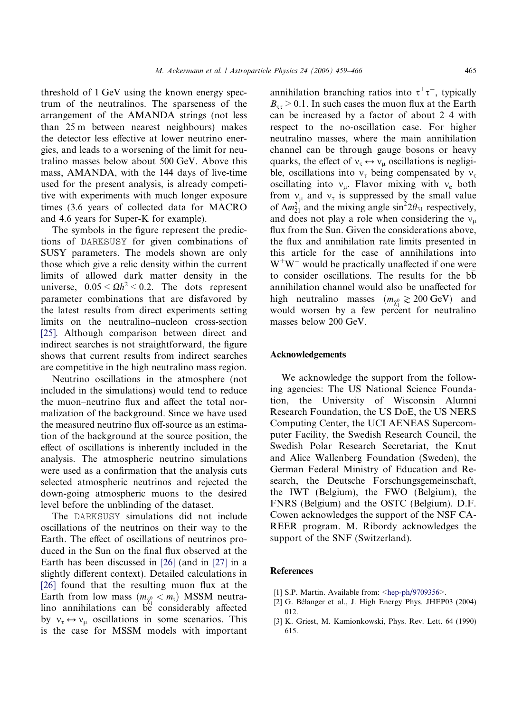<span id="page-6-0"></span>threshold of 1 GeV using the known energy spectrum of the neutralinos. The sparseness of the arrangement of the AMANDA strings (not less than 25 m between nearest neighbours) makes the detector less effective at lower neutrino energies, and leads to a worsening of the limit for neutralino masses below about 500 GeV. Above this mass, AMANDA, with the 144 days of live-time used for the present analysis, is already competitive with experiments with much longer exposure times (3.6 years of collected data for MACRO and 4.6 years for Super-K for example).

The symbols in the figure represent the predictions of DARKSUSY for given combinations of SUSY parameters. The models shown are only those which give a relic density within the current limits of allowed dark matter density in the universe,  $0.05 \leq \Omega h^2 \leq 0.2$ . The dots represent parameter combinations that are disfavored by the latest results from direct experiments setting limits on the neutralino–nucleon cross-section [\[25\].](#page-7-0) Although comparison between direct and indirect searches is not straightforward, the figure shows that current results from indirect searches are competitive in the high neutralino mass region.

Neutrino oscillations in the atmosphere (not included in the simulations) would tend to reduce the muon–neutrino flux and affect the total normalization of the background. Since we have used the measured neutrino flux off-source as an estimation of the background at the source position, the effect of oscillations is inherently included in the analysis. The atmospheric neutrino simulations were used as a confirmation that the analysis cuts selected atmospheric neutrinos and rejected the down-going atmospheric muons to the desired level before the unblinding of the dataset.

The DARKSUSY simulations did not include oscillations of the neutrinos on their way to the Earth. The effect of oscillations of neutrinos produced in the Sun on the final flux observed at the Earth has been discussed in [\[26\]](#page-7-0) (and in [\[27\]](#page-7-0) in a slightly different context). Detailed calculations in [\[26\]](#page-7-0) found that the resulting muon flux at the Earth from low mass  $(m_{\tilde{\chi}_1^0} < m_t)$  MSSM neutralino annihilations can be considerably affected by  $v_{\tau} \leftrightarrow v_{\mu}$  oscillations in some scenarios. This is the case for MSSM models with important

annihilation branching ratios into  $\tau^+\tau^-$ , typically  $B_{\tau\tau}$  > 0.1. In such cases the muon flux at the Earth can be increased by a factor of about 2–4 with respect to the no-oscillation case. For higher neutralino masses, where the main annihilation channel can be through gauge bosons or heavy quarks, the effect of  $v_\tau \leftrightarrow v_\mu$  oscillations is negligible, oscillations into  $v_{\tau}$  being compensated by  $v_{\tau}$ oscillating into  $v_{\mu}$ . Flavor mixing with  $v_e$  both from  $v_{\mu}$  and  $v_{\tau}$  is suppressed by the small value of  $\Delta m_{21}^2$  and the mixing angle  $\sin^2 2\theta_{31}$  respectively, and does not play a role when considering the  $v_{\mu}$ flux from the Sun. Given the considerations above, the flux and annihilation rate limits presented in this article for the case of annihilations into  $W^+W^-$  would be practically unaffected if one were to consider oscillations. The results for the b b annihilation channel would also be unaffected for high neutralino masses  $(m_{\tilde{\chi}^0_1} \gtrsim 200 \text{ GeV})$  and would worsen by a few percent for neutralino masses below 200 GeV.

#### Acknowledgements

We acknowledge the support from the following agencies: The US National Science Foundation, the University of Wisconsin Alumni Research Foundation, the US DoE, the US NERS Computing Center, the UCI AENEAS Supercomputer Facility, the Swedish Research Council, the Swedish Polar Research Secretariat, the Knut and Alice Wallenberg Foundation (Sweden), the German Federal Ministry of Education and Research, the Deutsche Forschungsgemeinschaft, the IWT (Belgium), the FWO (Belgium), the FNRS (Belgium) and the OSTC (Belgium). D.F. Cowen acknowledges the support of the NSF CA-REER program. M. Ribordy acknowledges the support of the SNF (Switzerland).

#### References

- [1] S.P. Martin. Available from: <[hep-ph/9709356](http://hep-ph/9709356)>.
- [2] G. Bélanger et al., J. High Energy Phys. JHEP03 (2004) 012.
- [3] K. Griest, M. Kamionkowski, Phys. Rev. Lett. 64 (1990) 615.